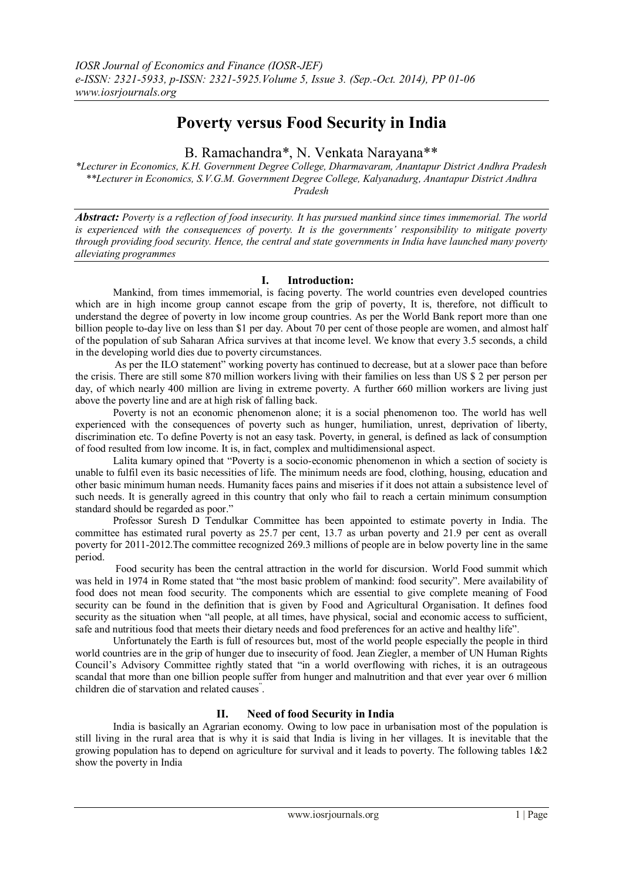# **Poverty versus Food Security in India**

B. Ramachandra\*, N. Venkata Narayana\*\*

*\*Lecturer in Economics, K.H. Government Degree College, Dharmavaram, Anantapur District Andhra Pradesh \*\*Lecturer in Economics, S.V.G.M. Government Degree College, Kalyanadurg, Anantapur District Andhra Pradesh*

*Abstract: Poverty is a reflection of food insecurity. It has pursued mankind since times immemorial. The world is experienced with the consequences of poverty. It is the governments' responsibility to mitigate poverty through providing food security. Hence, the central and state governments in India have launched many poverty alleviating programmes*

# **I. Introduction:**

Mankind, from times immemorial, is facing poverty. The world countries even developed countries which are in high income group cannot escape from the grip of poverty, It is, therefore, not difficult to understand the degree of poverty in low income group countries. As per the World Bank report more than one billion people to-day live on less than \$1 per day. About 70 per cent of those people are women, and almost half of the population of sub Saharan Africa survives at that income level. We know that every 3.5 seconds, a child in the developing world dies due to poverty circumstances.

As per the ILO statement" working poverty has continued to decrease, but at a slower pace than before the crisis. There are still some 870 million workers living with their families on less than US \$ 2 per person per day, of which nearly 400 million are living in extreme poverty. A further 660 million workers are living just above the poverty line and are at high risk of falling back.

Poverty is not an economic phenomenon alone; it is a social phenomenon too. The world has well experienced with the consequences of poverty such as hunger, humiliation, unrest, deprivation of liberty, discrimination etc. To define Poverty is not an easy task. Poverty, in general, is defined as lack of consumption of food resulted from low income. It is, in fact, complex and multidimensional aspect.

Lalita kumary opined that "Poverty is a socio-economic phenomenon in which a section of society is unable to fulfil even its basic necessities of life. The minimum needs are food, clothing, housing, education and other basic minimum human needs. Humanity faces pains and miseries if it does not attain a subsistence level of such needs. It is generally agreed in this country that only who fail to reach a certain minimum consumption standard should be regarded as poor."

Professor Suresh D Tendulkar Committee has been appointed to estimate poverty in India. The committee has estimated rural poverty as 25.7 per cent, 13.7 as urban poverty and 21.9 per cent as overall poverty for 2011-2012.The committee recognized 269.3 millions of people are in below poverty line in the same period.

Food security has been the central attraction in the world for discursion. World Food summit which was held in 1974 in Rome stated that "the most basic problem of mankind: food security". Mere availability of food does not mean food security. The components which are essential to give complete meaning of Food security can be found in the definition that is given by Food and Agricultural Organisation. It defines food security as the situation when "all people, at all times, have physical, social and economic access to sufficient, safe and nutritious food that meets their dietary needs and food preferences for an active and healthy life".

Unfortunately the Earth is full of resources but, most of the world people especially the people in third world countries are in the grip of hunger due to insecurity of food. Jean Ziegler, a member of UN Human Rights Council's Advisory Committee rightly stated that "in a world overflowing with riches, it is an outrageous scandal that more than one billion people suffer from hunger and malnutrition and that ever year over 6 million children die of starvation and related causes" .

# **II. Need of food Security in India**

India is basically an Agrarian economy. Owing to low pace in urbanisation most of the population is still living in the rural area that is why it is said that India is living in her villages. It is inevitable that the growing population has to depend on agriculture for survival and it leads to poverty. The following tables 1&2 show the poverty in India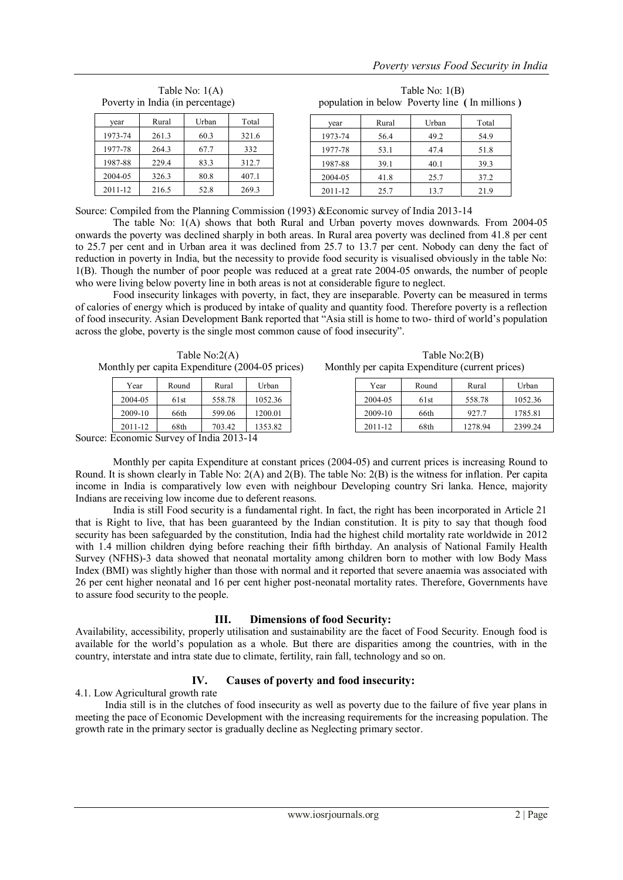| Poverty in India (in percentage) |       |       |       | population in below Poverty line (In millions) |       |       |       |
|----------------------------------|-------|-------|-------|------------------------------------------------|-------|-------|-------|
| year                             | Rural | Urban | Total | vear                                           | Rural | Urban | Total |
| 1973-74                          | 261.3 | 60.3  | 321.6 | 1973-74                                        | 56.4  | 49.2  | 54.9  |
| 1977-78                          | 264.3 | 67.7  | 332   | 1977-78                                        | 53.1  | 47.4  | 51.8  |
| 1987-88                          | 229.4 | 83.3  | 312.7 | 1987-88                                        | 39.1  | 40.1  | 39.3  |
| 2004-05                          | 326.3 | 80.8  | 407.1 | 2004-05                                        | 41.8  | 25.7  | 37.2  |
| 2011-12                          | 216.5 | 52.8  | 269.3 | 2011-12                                        | 25.7  | 13.7  | 21.9  |

Table No: 1(A) Table No: 1(B)

Source: Compiled from the Planning Commission (1993) &Economic survey of India 2013-14

The table No: 1(A) shows that both Rural and Urban poverty moves downwards. From 2004-05 onwards the poverty was declined sharply in both areas. In Rural area poverty was declined from 41.8 per cent to 25.7 per cent and in Urban area it was declined from 25.7 to 13.7 per cent. Nobody can deny the fact of reduction in poverty in India, but the necessity to provide food security is visualised obviously in the table No: 1(B). Though the number of poor people was reduced at a great rate 2004-05 onwards, the number of people who were living below poverty line in both areas is not at considerable figure to neglect.

Food insecurity linkages with poverty, in fact, they are inseparable. Poverty can be measured in terms of calories of energy which is produced by intake of quality and quantity food. Therefore poverty is a reflection of food insecurity. Asian Development Bank reported that "Asia still is home to two- third of world's population across the globe, poverty is the single most common cause of food insecurity".

| Table $No:2(A)$ |                                                 |       |        |         | Table No:2(B) |       |                                                 |                 |  |
|-----------------|-------------------------------------------------|-------|--------|---------|---------------|-------|-------------------------------------------------|-----------------|--|
|                 | Monthly per capita Expenditure (2004-05 prices) |       |        |         |               |       | Monthly per capita Expenditure (current prices) |                 |  |
|                 | Year                                            | Round | Rural  | Urban   | Year          | Round | Rural                                           | U               |  |
|                 | 2004-05                                         | 61st  | 558.78 | 1052.36 | 2004-05       | 61st  | 558.78                                          | 10 <sup>2</sup> |  |

2009-10 66th 599.06 1200.01 2011-12 68th 703.42 1353.82

| Table No:2(A)                   | Table $No:2(B)$                                 |
|---------------------------------|-------------------------------------------------|
| Expenditure $(2004-05)$ prices) | Monthly per capita Expenditure (current prices) |

| Year    | Round | Rural   | Urban   |
|---------|-------|---------|---------|
| 2004-05 | 61st  | 558.78  | 1052.36 |
| 2009-10 | 66th  | 927.7   | 1785.81 |
| 2011-12 | 68th  | 1278.94 | 2399.24 |

Source: Economic Survey of India 2013-14

Monthly per capita Expenditure at constant prices (2004-05) and current prices is increasing Round to Round. It is shown clearly in Table No: 2(A) and 2(B). The table No: 2(B) is the witness for inflation. Per capita income in India is comparatively low even with neighbour Developing country Sri lanka. Hence, majority Indians are receiving low income due to deferent reasons.

India is still Food security is a fundamental right. In fact, the right has been incorporated in Article 21 that is Right to live, that has been guaranteed by the Indian constitution. It is pity to say that though food security has been safeguarded by the constitution, India had the highest child mortality rate worldwide in 2012 with 1.4 million children dying before reaching their fifth birthday. An analysis of National Family Health Survey (NFHS)-3 data showed that neonatal mortality among children born to mother with low Body Mass Index (BMI) was slightly higher than those with normal and it reported that severe anaemia was associated with 26 per cent higher neonatal and 16 per cent higher post-neonatal mortality rates. Therefore, Governments have to assure food security to the people.

# **III. Dimensions of food Security:**

Availability, accessibility, properly utilisation and sustainability are the facet of Food Security. Enough food is available for the world's population as a whole. But there are disparities among the countries, with in the country, interstate and intra state due to climate, fertility, rain fall, technology and so on.

# **IV. Causes of poverty and food insecurity:**

4.1. Low Agricultural growth rate

India still is in the clutches of food insecurity as well as poverty due to the failure of five year plans in meeting the pace of Economic Development with the increasing requirements for the increasing population. The growth rate in the primary sector is gradually decline as Neglecting primary sector.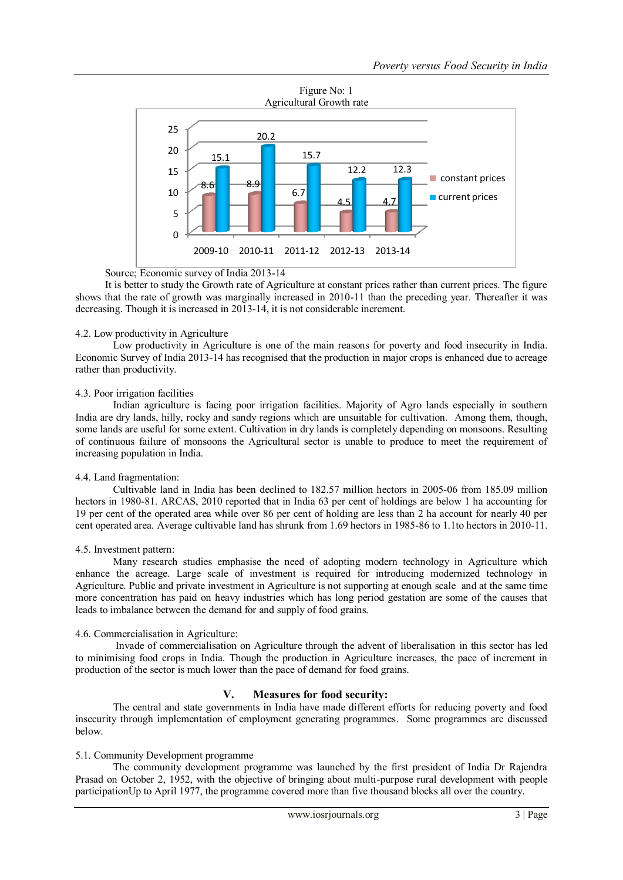

Source; Economic survey of India 2013-14

It is better to study the Growth rate of Agriculture at constant prices rather than current prices. The figure shows that the rate of growth was marginally increased in 2010-11 than the preceding year. Thereafter it was decreasing. Though it is increased in 2013-14, it is not considerable increment.

## 4.2. Low productivity in Agriculture

Low productivity in Agriculture is one of the main reasons for poverty and food insecurity in India. Economic Survey of India 2013-14 has recognised that the production in major crops is enhanced due to acreage rather than productivity.

## 4.3. Poor irrigation facilities

Indian agriculture is facing poor irrigation facilities. Majority of Agro lands especially in southern India are dry lands, hilly, rocky and sandy regions which are unsuitable for cultivation. Among them, though, some lands are useful for some extent. Cultivation in dry lands is completely depending on monsoons. Resulting of continuous failure of monsoons the Agricultural sector is unable to produce to meet the requirement of increasing population in India.

# 4.4. Land fragmentation:

Cultivable land in India has been declined to 182.57 million hectors in 2005-06 from 185.09 million hectors in 1980-81. ARCAS, 2010 reported that in India 63 per cent of holdings are below 1 ha accounting for 19 per cent of the operated area while over 86 per cent of holding are less than 2 ha account for nearly 40 per cent operated area. Average cultivable land has shrunk from 1.69 hectors in 1985-86 to 1.1to hectors in 2010-11.

# 4.5. Investment pattern:

Many research studies emphasise the need of adopting modern technology in Agriculture which enhance the acreage. Large scale of investment is required for introducing modernized technology in Agriculture. Public and private investment in Agriculture is not supporting at enough scale and at the same time more concentration has paid on heavy industries which has long period gestation are some of the causes that leads to imbalance between the demand for and supply of food grains.

# 4.6. Commercialisation in Agriculture:

Invade of commercialisation on Agriculture through the advent of liberalisation in this sector has led to minimising food crops in India. Though the production in Agriculture increases, the pace of increment in production of the sector is much lower than the pace of demand for food grains.

# **V. Measures for food security:**

The central and state governments in India have made different efforts for reducing poverty and food insecurity through implementation of employment generating programmes. Some programmes are discussed below.

#### 5.1. Community Development programme

The community development programme was launched by the first president of India Dr Rajendra Prasad on October 2, 1952, with the objective of bringing about multi-purpose rural development with people participationUp to April 1977, the programme covered more than five thousand blocks all over the country.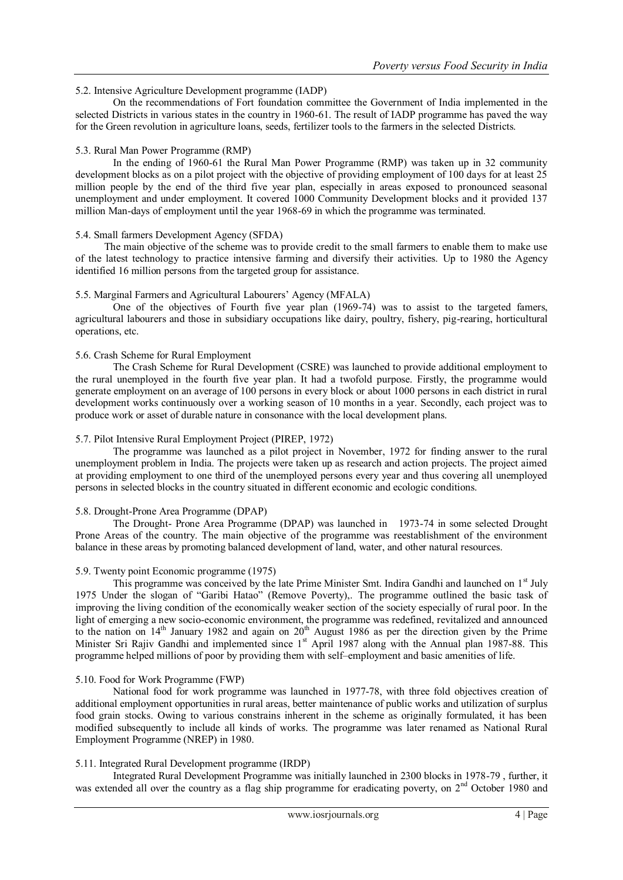## 5.2. Intensive Agriculture Development programme (IADP)

On the recommendations of Fort foundation committee the Government of India implemented in the selected Districts in various states in the country in 1960-61. The result of IADP programme has paved the way for the Green revolution in agriculture loans, seeds, fertilizer tools to the farmers in the selected Districts.

## 5.3. Rural Man Power Programme (RMP)

In the ending of 1960-61 the Rural Man Power Programme (RMP) was taken up in 32 community development blocks as on a pilot project with the objective of providing employment of 100 days for at least 25 million people by the end of the third five year plan, especially in areas exposed to pronounced seasonal unemployment and under employment. It covered 1000 Community Development blocks and it provided 137 million Man-days of employment until the year 1968-69 in which the programme was terminated.

## 5.4. Small farmers Development Agency (SFDA)

The main objective of the scheme was to provide credit to the small farmers to enable them to make use of the latest technology to practice intensive farming and diversify their activities. Up to 1980 the Agency identified 16 million persons from the targeted group for assistance.

## 5.5. Marginal Farmers and Agricultural Labourers' Agency (MFALA)

One of the objectives of Fourth five year plan (1969-74) was to assist to the targeted famers, agricultural labourers and those in subsidiary occupations like dairy, poultry, fishery, pig-rearing, horticultural operations, etc.

# 5.6. Crash Scheme for Rural Employment

The Crash Scheme for Rural Development (CSRE) was launched to provide additional employment to the rural unemployed in the fourth five year plan. It had a twofold purpose. Firstly, the programme would generate employment on an average of 100 persons in every block or about 1000 persons in each district in rural development works continuously over a working season of 10 months in a year. Secondly, each project was to produce work or asset of durable nature in consonance with the local development plans.

#### 5.7. Pilot Intensive Rural Employment Project (PIREP, 1972)

The programme was launched as a pilot project in November, 1972 for finding answer to the rural unemployment problem in India. The projects were taken up as research and action projects. The project aimed at providing employment to one third of the unemployed persons every year and thus covering all unemployed persons in selected blocks in the country situated in different economic and ecologic conditions.

#### 5.8. Drought-Prone Area Programme (DPAP)

The Drought- Prone Area Programme (DPAP) was launched in 1973-74 in some selected Drought Prone Areas of the country. The main objective of the programme was reestablishment of the environment balance in these areas by promoting balanced development of land, water, and other natural resources.

#### 5.9. Twenty point Economic programme (1975)

This programme was conceived by the late Prime Minister Smt. Indira Gandhi and launched on  $1<sup>st</sup>$  July 1975 Under the slogan of "Garibi Hatao" (Remove Poverty),. The programme outlined the basic task of improving the living condition of the economically weaker section of the society especially of rural poor. In the light of emerging a new socio-economic environment, the programme was redefined, revitalized and announced to the nation on  $14<sup>th</sup>$  January 1982 and again on  $20<sup>th</sup>$  August 1986 as per the direction given by the Prime Minister Sri Rajiv Gandhi and implemented since 1<sup>st</sup> April 1987 along with the Annual plan 1987-88. This programme helped millions of poor by providing them with self–employment and basic amenities of life.

#### 5.10. Food for Work Programme (FWP)

National food for work programme was launched in 1977-78, with three fold objectives creation of additional employment opportunities in rural areas, better maintenance of public works and utilization of surplus food grain stocks. Owing to various constrains inherent in the scheme as originally formulated, it has been modified subsequently to include all kinds of works. The programme was later renamed as National Rural Employment Programme (NREP) in 1980.

#### 5.11. Integrated Rural Development programme (IRDP)

Integrated Rural Development Programme was initially launched in 2300 blocks in 1978-79 , further, it was extended all over the country as a flag ship programme for eradicating poverty, on 2<sup>nd</sup> October 1980 and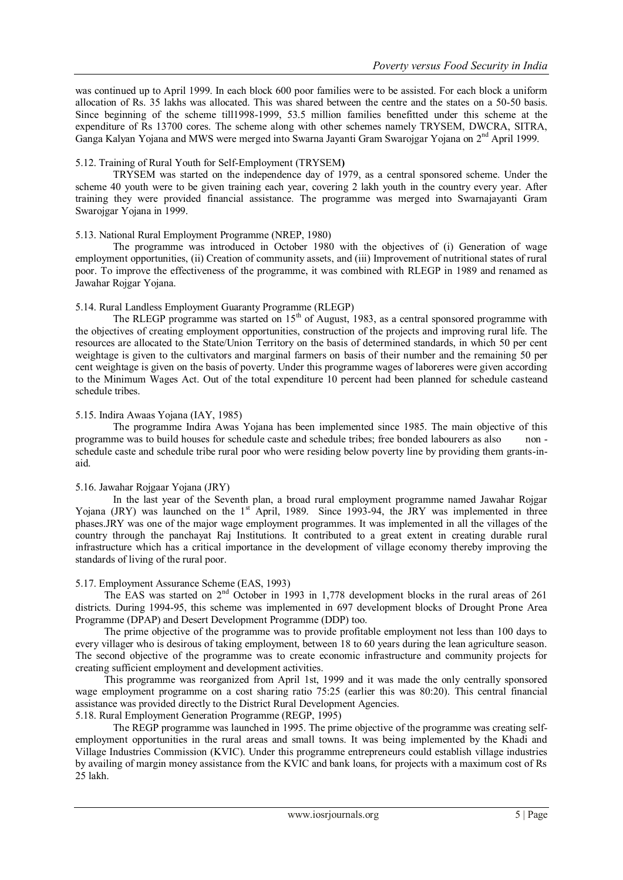was continued up to April 1999. In each block 600 poor families were to be assisted. For each block a uniform allocation of Rs. 35 lakhs was allocated. This was shared between the centre and the states on a 50-50 basis. Since beginning of the scheme till1998-1999, 53.5 million families benefitted under this scheme at the expenditure of Rs 13700 cores. The scheme along with other schemes namely TRYSEM, DWCRA, SITRA, Ganga Kalyan Yojana and MWS were merged into Swarna Jayanti Gram Swarojgar Yojana on 2nd April 1999.

#### 5.12. Training of Rural Youth for Self-Employment (TRYSEM**)**

TRYSEM was started on the independence day of 1979, as a central sponsored scheme. Under the scheme 40 youth were to be given training each year, covering 2 lakh youth in the country every year. After training they were provided financial assistance. The programme was merged into Swarnajayanti Gram Swarojgar Yojana in 1999.

## 5.13. National Rural Employment Programme (NREP, 1980)

The programme was introduced in October 1980 with the objectives of (i) Generation of wage employment opportunities, (ii) Creation of community assets, and (iii) Improvement of nutritional states of rural poor. To improve the effectiveness of the programme, it was combined with RLEGP in 1989 and renamed as Jawahar Rojgar Yojana.

## 5.14. Rural Landless Employment Guaranty Programme (RLEGP)

The RLEGP programme was started on  $15<sup>th</sup>$  of August, 1983, as a central sponsored programme with the objectives of creating employment opportunities, construction of the projects and improving rural life. The resources are allocated to the State/Union Territory on the basis of determined standards, in which 50 per cent weightage is given to the cultivators and marginal farmers on basis of their number and the remaining 50 per cent weightage is given on the basis of poverty. Under this programme wages of laboreres were given according to the Minimum Wages Act. Out of the total expenditure 10 percent had been planned for schedule casteand schedule tribes.

## 5.15. Indira Awaas Yojana (IAY, 1985)

The programme Indira Awas Yojana has been implemented since 1985. The main objective of this programme was to build houses for schedule caste and schedule tribes; free bonded labourers as also non schedule caste and schedule tribe rural poor who were residing below poverty line by providing them grants-inaid.

#### 5.16. Jawahar Rojgaar Yojana (JRY)

In the last year of the Seventh plan, a broad rural employment programme named Jawahar Rojgar Yojana (JRY) was launched on the 1<sup>st</sup> April, 1989. Since 1993-94, the JRY was implemented in three phases.JRY was one of the major wage employment programmes. It was implemented in all the villages of the country through the panchayat Raj Institutions. It contributed to a great extent in creating durable rural infrastructure which has a critical importance in the development of village economy thereby improving the standards of living of the rural poor.

#### 5.17. Employment Assurance Scheme (EAS, 1993)

The EAS was started on  $2<sup>nd</sup>$  October in 1993 in 1,778 development blocks in the rural areas of 261 districts. During 1994-95, this scheme was implemented in 697 development blocks of Drought Prone Area Programme (DPAP) and Desert Development Programme (DDP) too.

The prime objective of the programme was to provide profitable employment not less than 100 days to every villager who is desirous of taking employment, between 18 to 60 years during the lean agriculture season. The second objective of the programme was to create economic infrastructure and community projects for creating sufficient employment and development activities.

This programme was reorganized from April 1st, 1999 and it was made the only centrally sponsored wage employment programme on a cost sharing ratio 75:25 (earlier this was 80:20). This central financial assistance was provided directly to the District Rural Development Agencies.

5.18. Rural Employment Generation Programme (REGP, 1995)

The REGP programme was launched in 1995. The prime objective of the programme was creating selfemployment opportunities in the rural areas and small towns. It was being implemented by the Khadi and Village Industries Commission (KVIC). Under this programme entrepreneurs could establish village industries by availing of margin money assistance from the KVIC and bank loans, for projects with a maximum cost of Rs 25 lakh.